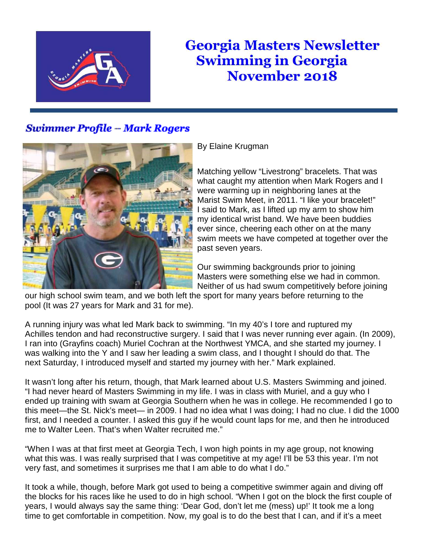

## **Georgia Masters Newsletter Swimming in Georgia November 2018**

## **Swimmer Profile -- Mark Rogers**



## By Elaine Krugman

Matching yellow "Livestrong" bracelets. That was what caught my attention when Mark Rogers and I were warming up in neighboring lanes at the Marist Swim Meet, in 2011. "I like your bracelet!" I said to Mark, as I lifted up my arm to show him my identical wrist band. We have been buddies ever since, cheering each other on at the many swim meets we have competed at together over the past seven years.

Our swimming backgrounds prior to joining Masters were something else we had in common. Neither of us had swum competitively before joining

our high school swim team, and we both left the sport for many years before returning to the pool (It was 27 years for Mark and 31 for me).

A running injury was what led Mark back to swimming. "In my 40's I tore and ruptured my Achilles tendon and had reconstructive surgery. I said that I was never running ever again. (In 2009), I ran into (Grayfins coach) Muriel Cochran at the Northwest YMCA, and she started my journey. I was walking into the Y and I saw her leading a swim class, and I thought I should do that. The next Saturday, I introduced myself and started my journey with her." Mark explained.

It wasn't long after his return, though, that Mark learned about U.S. Masters Swimming and joined. "I had never heard of Masters Swimming in my life. I was in class with Muriel, and a guy who I ended up training with swam at Georgia Southern when he was in college. He recommended I go to this meet—the St. Nick's meet— in 2009. I had no idea what I was doing; I had no clue. I did the 1000 first, and I needed a counter. I asked this guy if he would count laps for me, and then he introduced me to Walter Leen. That's when Walter recruited me."

"When I was at that first meet at Georgia Tech, I won high points in my age group, not knowing what this was. I was really surprised that I was competitive at my age! I'll be 53 this year. I'm not very fast, and sometimes it surprises me that I am able to do what I do."

It took a while, though, before Mark got used to being a competitive swimmer again and diving off the blocks for his races like he used to do in high school. "When I got on the block the first couple of years, I would always say the same thing: 'Dear God, don't let me (mess) up!' It took me a long time to get comfortable in competition. Now, my goal is to do the best that I can, and if it's a meet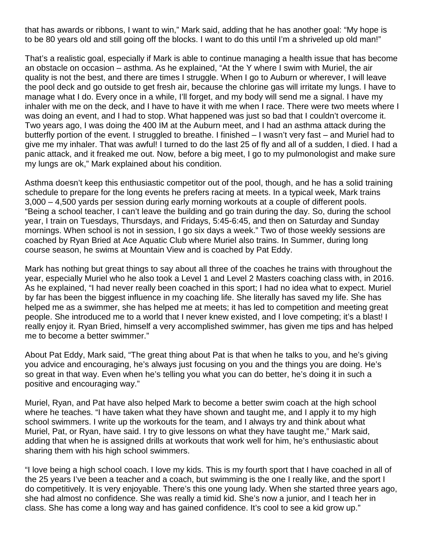that has awards or ribbons, I want to win," Mark said, adding that he has another goal: "My hope is to be 80 years old and still going off the blocks. I want to do this until I'm a shriveled up old man!"

That's a realistic goal, especially if Mark is able to continue managing a health issue that has become an obstacle on occasion – asthma. As he explained, "At the Y where I swim with Muriel, the air quality is not the best, and there are times I struggle. When I go to Auburn or wherever, I will leave the pool deck and go outside to get fresh air, because the chlorine gas will irritate my lungs. I have to manage what I do. Every once in a while, I'll forget, and my body will send me a signal. I have my inhaler with me on the deck, and I have to have it with me when I race. There were two meets where I was doing an event, and I had to stop. What happened was just so bad that I couldn't overcome it. Two years ago, I was doing the 400 IM at the Auburn meet, and I had an asthma attack during the butterfly portion of the event. I struggled to breathe. I finished – I wasn't very fast – and Muriel had to give me my inhaler. That was awful! I turned to do the last 25 of fly and all of a sudden, I died. I had a panic attack, and it freaked me out. Now, before a big meet, I go to my pulmonologist and make sure my lungs are ok," Mark explained about his condition.

Asthma doesn't keep this enthusiastic competitor out of the pool, though, and he has a solid training schedule to prepare for the long events he prefers racing at meets. In a typical week, Mark trains 3,000 – 4,500 yards per session during early morning workouts at a couple of different pools. "Being a school teacher, I can't leave the building and go train during the day. So, during the school year, I train on Tuesdays, Thursdays, and Fridays, 5:45-6:45, and then on Saturday and Sunday mornings. When school is not in session, I go six days a week." Two of those weekly sessions are coached by Ryan Bried at Ace Aquatic Club where Muriel also trains. In Summer, during long course season, he swims at Mountain View and is coached by Pat Eddy.

Mark has nothing but great things to say about all three of the coaches he trains with throughout the year, especially Muriel who he also took a Level 1 and Level 2 Masters coaching class with, in 2016. As he explained, "I had never really been coached in this sport; I had no idea what to expect. Muriel by far has been the biggest influence in my coaching life. She literally has saved my life. She has helped me as a swimmer, she has helped me at meets; it has led to competition and meeting great people. She introduced me to a world that I never knew existed, and I love competing; it's a blast! I really enjoy it. Ryan Bried, himself a very accomplished swimmer, has given me tips and has helped me to become a better swimmer."

About Pat Eddy, Mark said, "The great thing about Pat is that when he talks to you, and he's giving you advice and encouraging, he's always just focusing on you and the things you are doing. He's so great in that way. Even when he's telling you what you can do better, he's doing it in such a positive and encouraging way."

Muriel, Ryan, and Pat have also helped Mark to become a better swim coach at the high school where he teaches. "I have taken what they have shown and taught me, and I apply it to my high school swimmers. I write up the workouts for the team, and I always try and think about what Muriel, Pat, or Ryan, have said. I try to give lessons on what they have taught me," Mark said, adding that when he is assigned drills at workouts that work well for him, he's enthusiastic about sharing them with his high school swimmers.

"I love being a high school coach. I love my kids. This is my fourth sport that I have coached in all of the 25 years I've been a teacher and a coach, but swimming is the one I really like, and the sport I do competitively. It is very enjoyable. There's this one young lady. When she started three years ago, she had almost no confidence. She was really a timid kid. She's now a junior, and I teach her in class. She has come a long way and has gained confidence. It's cool to see a kid grow up."